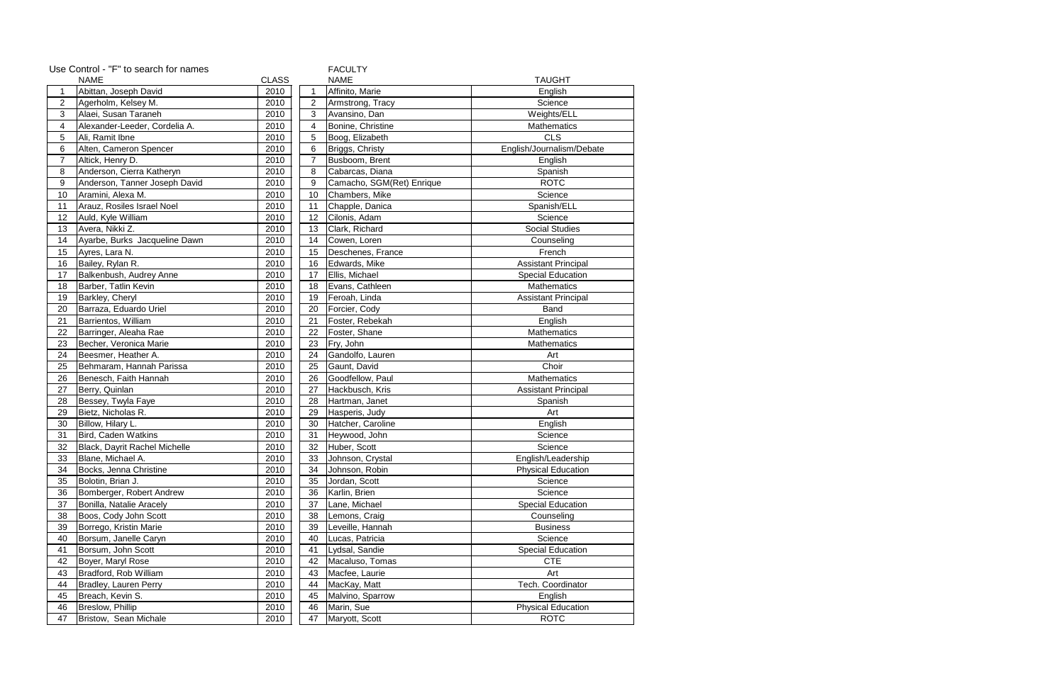|                | Use Control - "F" to search for names<br><b>FACULTY</b> |              |                |                           |                            |  |
|----------------|---------------------------------------------------------|--------------|----------------|---------------------------|----------------------------|--|
| <b>NAME</b>    |                                                         | <b>CLASS</b> |                | <b>NAME</b>               | <b>TAUGHT</b>              |  |
| $\mathbf{1}$   | Abittan, Joseph David                                   | 2010         | $\mathbf{1}$   | Affinito, Marie           | English                    |  |
| $\overline{c}$ | Agerholm, Kelsey M.                                     | 2010         | $\overline{2}$ | Armstrong, Tracy          | Science                    |  |
| $\sqrt{3}$     | Alaei, Susan Taraneh                                    | 2010         | $\sqrt{3}$     | Avansino, Dan             | Weights/ELL                |  |
| 4              | Alexander-Leeder, Cordelia A.                           | 2010         | 4              | Bonine, Christine         | Mathematics                |  |
| $\overline{5}$ | Ali, Ramit Ibne                                         | 2010         | 5              | Boog, Elizabeth           | <b>CLS</b>                 |  |
| 6              | Alten, Cameron Spencer                                  | 2010         | 6              | Briggs, Christy           | English/Journalism/Debate  |  |
| $\overline{7}$ | Altick, Henry D.                                        | 2010         | $\overline{7}$ | Busboom, Brent            | English                    |  |
| 8              | Anderson, Cierra Katheryn                               | 2010         | 8              | Cabarcas, Diana           | Spanish                    |  |
| $9\,$          | Anderson, Tanner Joseph David                           | 2010         | $\mathsf g$    | Camacho, SGM(Ret) Enrique | <b>ROTC</b>                |  |
| 10             | Aramini, Alexa M.                                       | 2010         | 10             | Chambers, Mike            | Science                    |  |
| 11             | Arauz, Rosiles Israel Noel                              | 2010         | 11             | Chapple, Danica           | Spanish/ELL                |  |
| 12             | Auld, Kyle William                                      | 2010         | 12             | Cilonis, Adam             | Science                    |  |
| 13             | Avera, Nikki Z.                                         | 2010         | 13             | Clark, Richard            | <b>Social Studies</b>      |  |
| 14             | Ayarbe, Burks Jacqueline Dawn                           | 2010         | 14             | Cowen, Loren              | Counseling                 |  |
| 15             | Ayres, Lara N.                                          | 2010         | 15             | Deschenes, France         | French                     |  |
| 16             | Bailey, Rylan R.                                        | 2010         | 16             | Edwards, Mike             | <b>Assistant Principal</b> |  |
| 17             | Balkenbush, Audrey Anne                                 | 2010         | 17             | Ellis, Michael            | <b>Special Education</b>   |  |
| 18             | Barber, Tatlin Kevin                                    | 2010         | 18             | Evans, Cathleen           | <b>Mathematics</b>         |  |
| 19             | Barkley, Cheryl                                         | 2010         | 19             | Feroah, Linda             | <b>Assistant Principal</b> |  |
| 20             | Barraza, Eduardo Uriel                                  | 2010         | 20             | Forcier, Cody             | Band                       |  |
| 21             | Barrientos, William                                     | 2010         | 21             | Foster, Rebekah           | English                    |  |
| 22             | Barringer, Aleaha Rae                                   | 2010         | 22             | Foster, Shane             | Mathematics                |  |
| 23             | Becher, Veronica Marie                                  | 2010         | 23             | Fry, John                 | Mathematics                |  |
| 24             | Beesmer, Heather A.                                     | 2010         | 24             | Gandolfo, Lauren          | Art                        |  |
| 25             | Behmaram, Hannah Parissa                                | 2010         | 25             | Gaunt, David              | Choir                      |  |
| 26             | Benesch, Faith Hannah                                   | 2010         | 26             | Goodfellow, Paul          | Mathematics                |  |
| 27             | Berry, Quinlan                                          | 2010         | 27             | Hackbusch, Kris           | <b>Assistant Principal</b> |  |
| 28             | Bessey, Twyla Faye                                      | 2010         | 28             | Hartman, Janet            | Spanish                    |  |
| 29             | Bietz, Nicholas R.                                      | 2010         | 29             | Hasperis, Judy            | Art                        |  |
| 30             | Billow, Hilary L.                                       | 2010         | 30             | Hatcher, Caroline         | English                    |  |
| 31             | Bird, Caden Watkins                                     | 2010         | 31             | Heywood, John             | Science                    |  |
| 32             | Black, Dayrit Rachel Michelle                           | 2010         | 32             | Huber, Scott              | Science                    |  |
| 33             | Blane, Michael A.                                       | 2010         | 33             | Johnson, Crystal          | English/Leadership         |  |
| 34             | Bocks, Jenna Christine                                  | 2010         | 34             | Johnson, Robin            | <b>Physical Education</b>  |  |
| 35             | Bolotin, Brian J.                                       | 2010         | 35             | Jordan, Scott             | Science                    |  |
| 36             | Bomberger, Robert Andrew                                | 2010         | 36             | Karlin, Brien             | Science                    |  |
| 37             | Bonilla, Natalie Aracely                                | 2010         | 37             | Lane, Michael             | <b>Special Education</b>   |  |
| 38             | Boos, Cody John Scott                                   | 2010         | 38             | Lemons, Craig             | Counseling                 |  |
| 39             | Borrego, Kristin Marie                                  | 2010         | 39             | Leveille, Hannah          | <b>Business</b>            |  |
| 40             | Borsum, Janelle Caryn                                   | 2010         | 40             | Lucas, Patricia           | Science                    |  |
| 41             | Borsum, John Scott                                      | 2010         | 41             | Lydsal, Sandie            | Special Education          |  |
| 42             | Boyer, Maryl Rose                                       | 2010         | 42             | Macaluso, Tomas           | <b>CTE</b>                 |  |
| 43             | Bradford, Rob William                                   | 2010         | 43             | Macfee, Laurie            | Art                        |  |
| 44             | Bradley, Lauren Perry                                   | 2010         | 44             | MacKay, Matt              | Tech. Coordinator          |  |
| 45             | Breach, Kevin S.                                        | 2010         | 45             | Malvino, Sparrow          | English                    |  |
| 46             | Breslow, Phillip                                        | 2010         | 46             | Marin, Sue                | <b>Physical Education</b>  |  |
| 47             | Bristow, Sean Michale                                   | 2010         | 47             | Maryott, Scott            | <b>ROTC</b>                |  |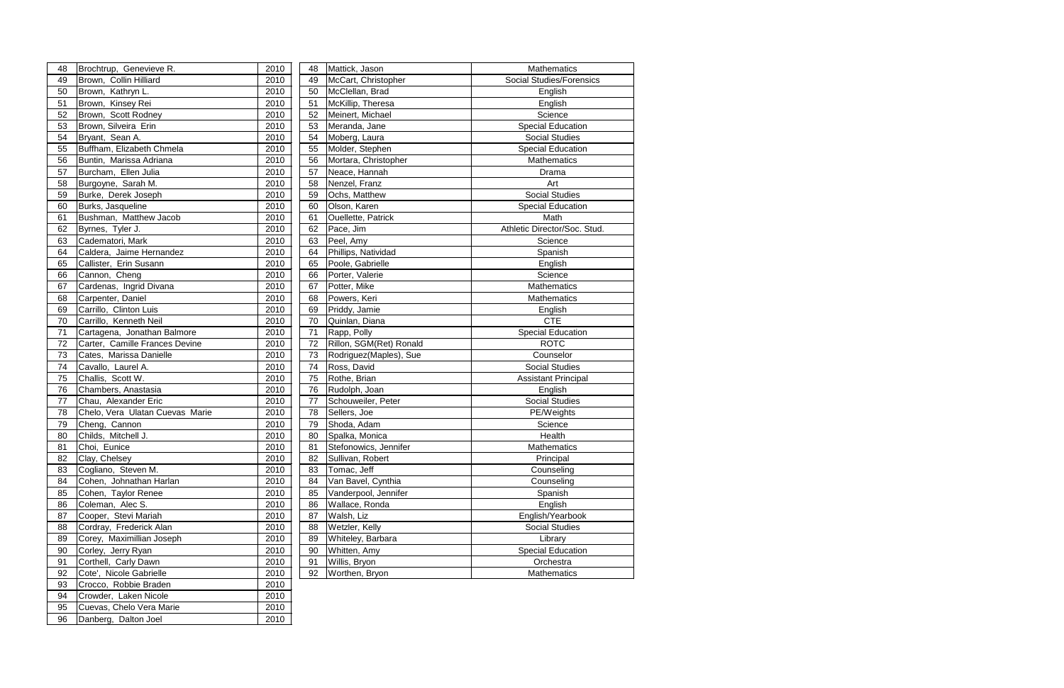| 48 | Brochtrup, Genevieve R.         | 2010 | 48 | Mattick, Jason          | Mathematics                     |
|----|---------------------------------|------|----|-------------------------|---------------------------------|
| 49 | Brown, Collin Hilliard          | 2010 | 49 | McCart, Christopher     | <b>Social Studies/Forensics</b> |
| 50 | Brown, Kathryn L.               | 2010 | 50 | McClellan, Brad         | English                         |
| 51 | Brown, Kinsey Rei               | 2010 | 51 | McKillip, Theresa       | English                         |
| 52 | Brown, Scott Rodney             | 2010 | 52 | Meinert, Michael        | Science                         |
| 53 | Brown, Silveira Erin            | 2010 | 53 | Meranda, Jane           | Special Education               |
| 54 | Bryant, Sean A.                 | 2010 | 54 | Moberg, Laura           | <b>Social Studies</b>           |
| 55 | Buffham, Elizabeth Chmela       | 2010 | 55 | Molder, Stephen         | <b>Special Education</b>        |
| 56 | Buntin, Marissa Adriana         | 2010 | 56 | Mortara, Christopher    | <b>Mathematics</b>              |
| 57 | Burcham, Ellen Julia            | 2010 | 57 | Neace, Hannah           | Drama                           |
| 58 | Burgoyne, Sarah M.              | 2010 | 58 | Nenzel, Franz           | Art                             |
| 59 | Burke, Derek Joseph             | 2010 | 59 | Ochs, Matthew           | <b>Social Studies</b>           |
| 60 | Burks, Jasqueline               | 2010 | 60 | Olson, Karen            | <b>Special Education</b>        |
| 61 | Bushman, Matthew Jacob          | 2010 | 61 | Ouellette, Patrick      | Math                            |
| 62 | Byrnes, Tyler J.                | 2010 | 62 | Pace, Jim               | Athletic Director/Soc. Stud.    |
| 63 | Cadematori, Mark                | 2010 | 63 | Peel, Amy               | Science                         |
| 64 | Caldera, Jaime Hernandez        | 2010 | 64 | Phillips, Natividad     | Spanish                         |
| 65 | Callister, Erin Susann          | 2010 | 65 | Poole, Gabrielle        | English                         |
| 66 | Cannon, Cheng                   | 2010 | 66 | Porter, Valerie         | Science                         |
| 67 | Cardenas, Ingrid Divana         | 2010 | 67 | Potter, Mike            | Mathematics                     |
| 68 | Carpenter, Daniel               | 2010 | 68 | Powers, Keri            | <b>Mathematics</b>              |
| 69 | Carrillo, Clinton Luis          | 2010 | 69 | Priddy, Jamie           | English                         |
| 70 | Carrillo, Kenneth Neil          | 2010 | 70 | Quinlan, Diana          | <b>CTE</b>                      |
| 71 | Cartagena, Jonathan Balmore     | 2010 | 71 | Rapp, Polly             | <b>Special Education</b>        |
| 72 | Carter, Camille Frances Devine  | 2010 | 72 | Rillon, SGM(Ret) Ronald | <b>ROTC</b>                     |
| 73 | Cates, Marissa Danielle         | 2010 | 73 | Rodriguez(Maples), Sue  | Counselor                       |
| 74 | Cavallo, Laurel A.              | 2010 | 74 | Ross, David             | <b>Social Studies</b>           |
| 75 | Challis, Scott W.               | 2010 | 75 | Rothe, Brian            | <b>Assistant Principal</b>      |
| 76 | Chambers, Anastasia             | 2010 | 76 | Rudolph, Joan           | English                         |
| 77 | Chau, Alexander Eric            | 2010 | 77 | Schouweiler, Peter      | <b>Social Studies</b>           |
| 78 | Chelo, Vera Ulatan Cuevas Marie | 2010 | 78 | Sellers, Joe            | PE/Weights                      |
| 79 | Cheng, Cannon                   | 2010 | 79 | Shoda, Adam             | Science                         |
| 80 | Childs, Mitchell J.             | 2010 | 80 | Spalka, Monica          | Health                          |
| 81 | Choi, Eunice                    | 2010 | 81 | Stefonowics, Jennifer   | Mathematics                     |
| 82 | Clay, Chelsey                   | 2010 | 82 | Sullivan, Robert        | Principal                       |
| 83 | Cogliano, Steven M.             | 2010 | 83 | Tomac, Jeff             | Counseling                      |
| 84 | Cohen, Johnathan Harlan         | 2010 | 84 | Van Bavel, Cynthia      | Counseling                      |
| 85 | Cohen, Taylor Renee             | 2010 | 85 | Vanderpool, Jennifer    | Spanish                         |
| 86 | Coleman, Alec S.                | 2010 | 86 | Wallace, Ronda          | English                         |
| 87 | Cooper, Stevi Mariah            | 2010 | 87 | Walsh, Liz              | English/Yearbook                |
| 88 | Cordray, Frederick Alan         | 2010 | 88 | Wetzler, Kelly          | <b>Social Studies</b>           |
| 89 | Corey, Maximillian Joseph       | 2010 | 89 | Whiteley, Barbara       | Library                         |
| 90 | Corley, Jerry Ryan              | 2010 | 90 | Whitten, Amy            | <b>Special Education</b>        |
| 91 | Corthell, Carly Dawn            | 2010 | 91 | Willis, Bryon           | Orchestra                       |
| 92 | Cote', Nicole Gabrielle         | 2010 | 92 | Worthen, Bryon          | Mathematics                     |
| 93 | Crocco, Robbie Braden           | 2010 |    |                         |                                 |
| 94 | Crowder, Laken Nicole           | 2010 |    |                         |                                 |

95 Cuevas, Chelo Vera Marie 2010<br>96 Danberg, Dalton Joel 2010

96 Danberg, Dalton Joel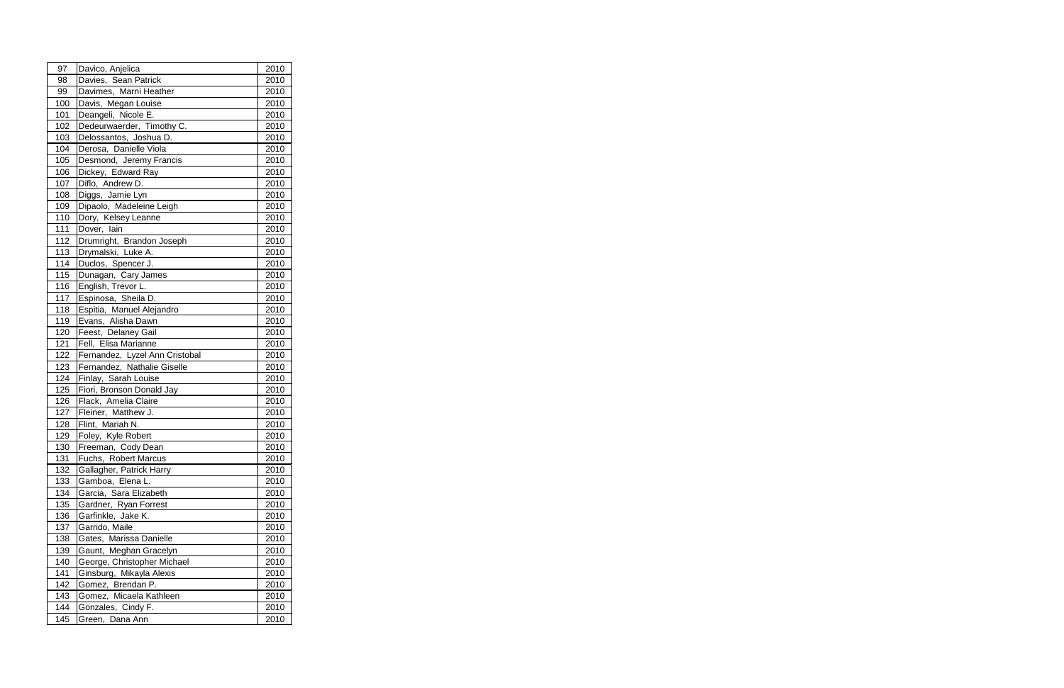| 97    | Davico, Anjelica               | 2010 |
|-------|--------------------------------|------|
| 98    | Davies, Sean Patrick           | 2010 |
| 99    | Davimes, Marni Heather         | 2010 |
| 100   | Davis, Megan Louise            | 2010 |
| 101   | Deangeli, Nicole E.            | 2010 |
| 102   | Dedeurwaerder, Timothy C.      | 2010 |
| 103   | Delossantos, Joshua D.         | 2010 |
| 104   | Derosa, Danielle Viola         | 2010 |
| 105   | Desmond, Jeremy Francis        | 2010 |
| 106   | Dickey, Edward Ray             | 2010 |
| 107   | Diflo, Andrew D.               | 2010 |
| 108   | Diggs, Jamie Lyn               | 2010 |
| 109   | Dipaolo, Madeleine Leigh       | 2010 |
| 110   | Dory, Kelsey Leanne            | 2010 |
| 111   | Dover, lain                    | 2010 |
| 112   | Drumright, Brandon Joseph      | 2010 |
| 113   | Drymalski, Luke A.             | 2010 |
| 114   | Duclos, Spencer J.             | 2010 |
| 115   | Dunagan, Cary James            | 2010 |
| 116   | English, Trevor L.             | 2010 |
| 117   | Espinosa, Sheila D.            | 2010 |
| 118   | Espitia, Manuel Alejandro      | 2010 |
| 119   | Evans, Alisha Dawn             | 2010 |
| 120   | Feest, Delaney Gail            | 2010 |
| $121$ | Fell, Elisa Marianne           | 2010 |
| 122   | Fernandez, Lyzel Ann Cristobal | 2010 |
| 123   | Fernandez, Nathalie Giselle    | 2010 |
| 124   | Finlay, Sarah Louise           | 2010 |
| 125   | Fiori, Bronson Donald Jay      | 2010 |
| 126   | Flack, Amelia Claire           | 2010 |
| 127   | Fleiner, Matthew J.            | 2010 |
| 128   | Flint, Mariah N.               | 2010 |
| 129   | Foley, Kyle Robert             | 2010 |
| 130   | Freeman, Cody Dean             | 2010 |
| 131   | Fuchs, Robert Marcus           | 2010 |
| 132   | Gallagher, Patrick Harry       | 2010 |
| 133   | Gamboa, Elena L.               | 2010 |
| 134   | Garcia, Sara Elizabeth         | 2010 |
| 135   | Gardner, Ryan Forrest          | 2010 |
| 136   | Garfinkle, Jake K.             | 2010 |
| 137   | Garrido, Maile                 | 2010 |
| 138   | Gates, Marissa Danielle        | 2010 |
| 139   | Gaunt, Meghan Gracelyn         | 2010 |
| 140   | George, Christopher Michael    | 2010 |
| 141   | Ginsburg, Mikayla Alexis       | 2010 |
| 142   | Gomez, Brendan P.              | 2010 |
| 143   | Gomez, Micaela Kathleen        | 2010 |
| 144   | Gonzales, Cindy F.             | 2010 |
| 145   | Green, Dana Ann                | 2010 |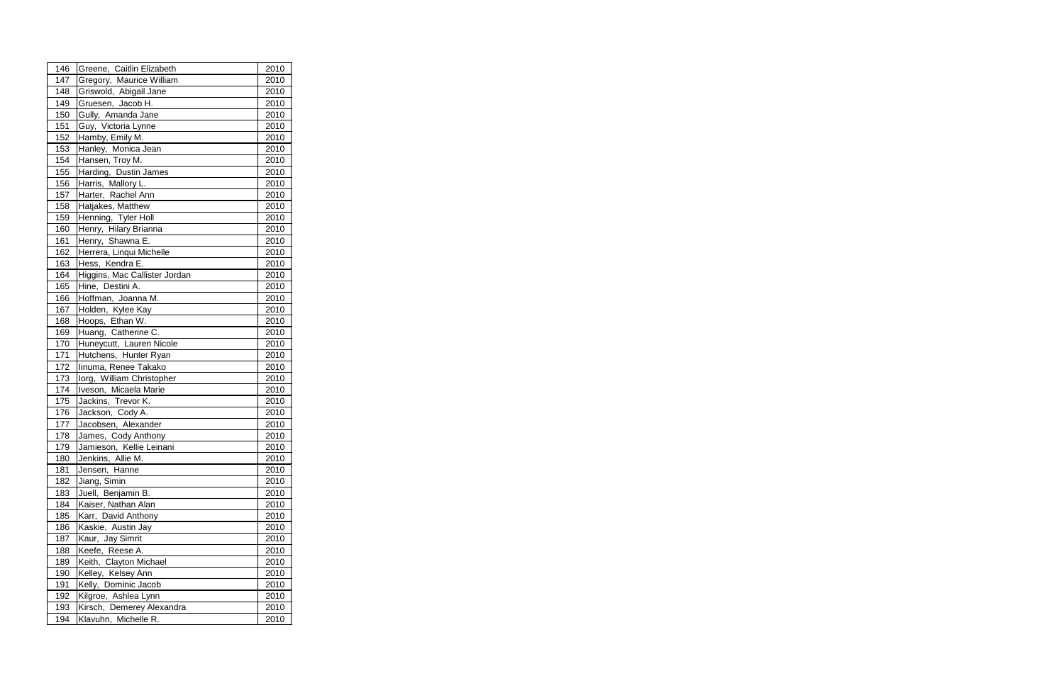| 146 | Greene, Caitlin Elizabeth     | 2010 |
|-----|-------------------------------|------|
| 147 | Gregory, Maurice William      | 2010 |
| 148 | Griswold, Abigail Jane        | 2010 |
| 149 | Gruesen, Jacob H.             | 2010 |
| 150 | Gully, Amanda Jane            | 2010 |
| 151 | Guy, Victoria Lynne           | 2010 |
| 152 | Hamby, Emily M.               | 2010 |
| 153 | Hanley, Monica Jean           | 2010 |
| 154 | Hansen, Troy M.               | 2010 |
| 155 | Harding, Dustin James         | 2010 |
| 156 | Harris, Mallory L.            | 2010 |
| 157 | Harter, Rachel Ann            | 2010 |
| 158 | Hatjakes, Matthew             | 2010 |
| 159 | Henning, Tyler Holl           | 2010 |
| 160 | Henry, Hilary Brianna         | 2010 |
| 161 | Henry, Shawna E.              | 2010 |
| 162 | Herrera, Linqui Michelle      | 2010 |
| 163 | Hess, Kendra E.               | 2010 |
| 164 | Higgins, Mac Callister Jordan | 2010 |
| 165 | Hine, Destini A.              | 2010 |
| 166 | Hoffman, Joanna M.            | 2010 |
| 167 | Holden, Kylee Kay             | 2010 |
| 168 | Hoops, Ethan W.               | 2010 |
| 169 | Huang, Catherine C.           | 2010 |
| 170 | Huneycutt, Lauren Nicole      | 2010 |
| 171 | Hutchens, Hunter Ryan         | 2010 |
| 172 | linuma, Renee Takako          | 2010 |
| 173 | lorg, William Christopher     | 2010 |
| 174 | Iveson, Micaela Marie         | 2010 |
| 175 | Jackins, Trevor K.            | 2010 |
| 176 | Jackson, Cody A.              | 2010 |
| 177 | Jacobsen, Alexander           | 2010 |
| 178 | James, Cody Anthony           | 2010 |
| 179 | Jamieson, Kellie Leinani      | 2010 |
| 180 | Jenkins, Allie M.             | 2010 |
| 181 | Jensen, Hanne                 | 2010 |
| 182 | Jiang, Simin                  | 2010 |
| 183 | Juell, Benjamin B.            | 2010 |
| 184 | Kaiser, Nathan Alan           | 2010 |
| 185 | Karr, David Anthony           | 2010 |
| 186 | Kaskie, Austin Jay            | 2010 |
| 187 | Kaur, Jay Simrit              | 2010 |
| 188 | Keefe, Reese A.               | 2010 |
| 189 | Keith, Clayton Michael        | 2010 |
| 190 | Kelley, Kelsey Ann            | 2010 |
| 191 | Kelly, Dominic Jacob          | 2010 |
| 192 | Kilgroe, Ashlea Lynn          | 2010 |
| 193 | Kirsch, Demerey Alexandra     | 2010 |
| 194 | Klavuhn, Michelle R.          | 2010 |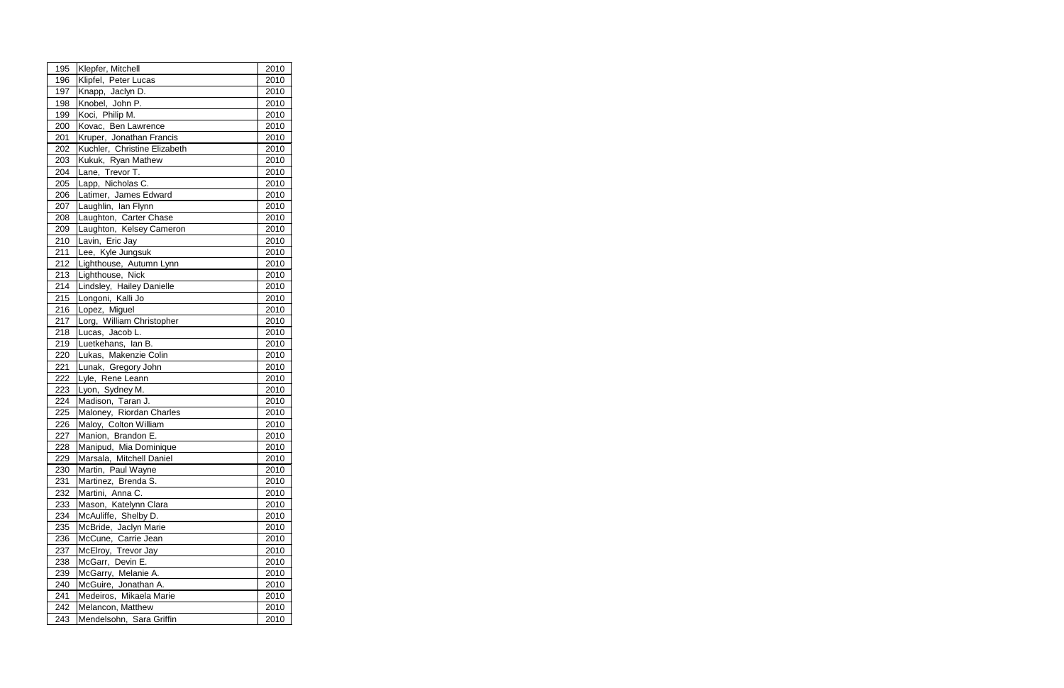| 195 | Klepfer, Mitchell            | 2010 |
|-----|------------------------------|------|
| 196 | Klipfel, Peter Lucas         | 2010 |
| 197 | Knapp, Jaclyn D.             | 2010 |
| 198 | Knobel, John P.              | 2010 |
| 199 | Koci, Philip M.              | 2010 |
| 200 | Kovac, Ben Lawrence          | 2010 |
| 201 | Kruper, Jonathan Francis     | 2010 |
| 202 | Kuchler, Christine Elizabeth | 2010 |
| 203 | Kukuk, Ryan Mathew           | 2010 |
| 204 | Lane, Trevor T.              | 2010 |
| 205 | Lapp, Nicholas C.            | 2010 |
| 206 | Latimer, James Edward        | 2010 |
| 207 | Laughlin, Ian Flynn          | 2010 |
| 208 | Laughton, Carter Chase       | 2010 |
| 209 | Laughton, Kelsey Cameron     | 2010 |
| 210 | Lavin, Eric Jay              | 2010 |
| 211 | Lee, Kyle Jungsuk            | 2010 |
| 212 | Lighthouse, Autumn Lynn      | 2010 |
| 213 | Lighthouse, Nick             | 2010 |
| 214 | Lindsley, Hailey Danielle    | 2010 |
| 215 | Longoni, Kalli Jo            | 2010 |
| 216 | Lopez, Miguel                | 2010 |
| 217 | Lorg, William Christopher    | 2010 |
| 218 | Lucas, Jacob L.              | 2010 |
| 219 | Luetkehans, Ian B.           | 2010 |
| 220 | Lukas, Makenzie Colin        | 2010 |
| 221 | Lunak, Gregory John          | 2010 |
| 222 | Lyle, Rene Leann             | 2010 |
| 223 | Lyon, Sydney M.              | 2010 |
| 224 | Madison, Taran J.            | 2010 |
| 225 | Maloney, Riordan Charles     | 2010 |
| 226 | Maloy, Colton William        | 2010 |
| 227 | Manion, Brandon E.           | 2010 |
| 228 | Manipud, Mia Dominique       | 2010 |
| 229 | Marsala, Mitchell Daniel     | 2010 |
| 230 | Martin, Paul Wayne           | 2010 |
| 231 | Martinez, Brenda S.          | 2010 |
| 232 | Martini, Anna C.             | 2010 |
| 233 | Mason, Katelynn Clara        | 2010 |
| 234 | McAuliffe, Shelby D.         | 2010 |
| 235 | McBride, Jaclyn Marie        | 2010 |
| 236 | McCune, Carrie Jean          | 2010 |
| 237 | McElroy, Trevor Jay          | 2010 |
| 238 | McGarr, Devin E.             | 2010 |
| 239 | McGarry, Melanie A.          | 2010 |
| 240 | McGuire, Jonathan A.         | 2010 |
| 241 | Medeiros, Mikaela Marie      | 2010 |
| 242 | Melancon, Matthew            | 2010 |
| 243 | Mendelsohn, Sara Griffin     | 2010 |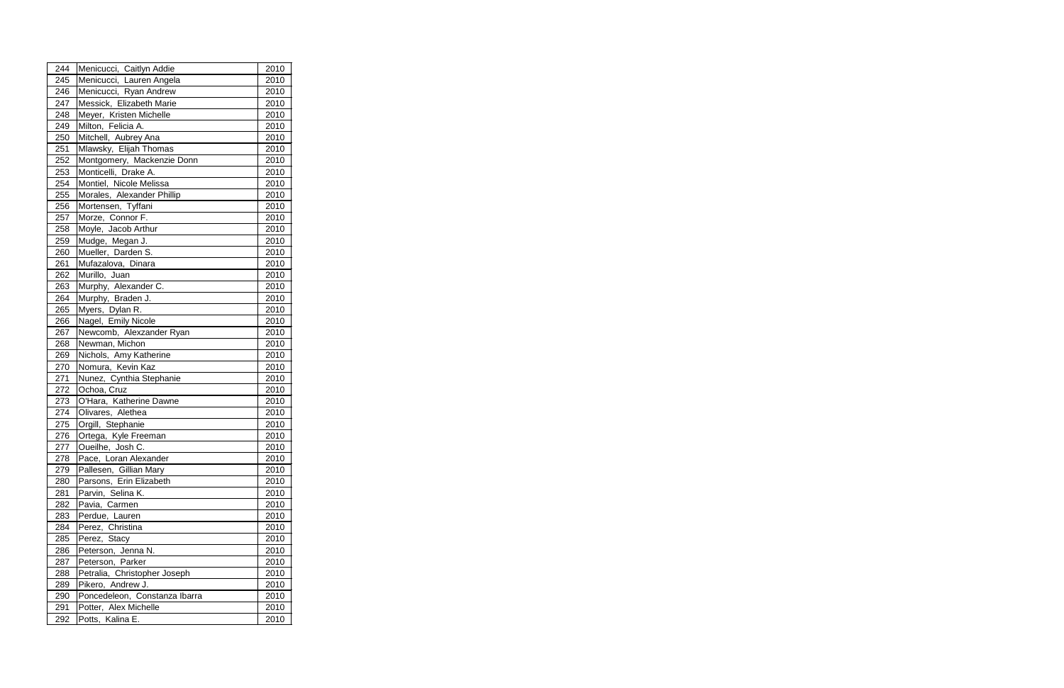| 244 | Menicucci, Caitlyn Addie      | 2010 |
|-----|-------------------------------|------|
| 245 | Menicucci, Lauren Angela      | 2010 |
| 246 | Menicucci, Ryan Andrew        | 2010 |
| 247 | Messick, Elizabeth Marie      | 2010 |
| 248 | Meyer, Kristen Michelle       | 2010 |
| 249 | Milton, Felicia A.            | 2010 |
| 250 | Mitchell, Aubrey Ana          | 2010 |
| 251 | Mlawsky, Elijah Thomas        | 2010 |
| 252 | Montgomery, Mackenzie Donn    | 2010 |
| 253 | Monticelli, Drake A.          | 2010 |
| 254 | Montiel, Nicole Melissa       | 2010 |
| 255 | Morales, Alexander Phillip    | 2010 |
| 256 | Mortensen, Tyffani            | 2010 |
| 257 | Morze, Connor F.              | 2010 |
| 258 | Moyle, Jacob Arthur           | 2010 |
| 259 | Mudge, Megan J.               | 2010 |
| 260 | Mueller, Darden S.            | 2010 |
| 261 | Mufazalova, Dinara            | 2010 |
| 262 | Murillo, Juan                 | 2010 |
| 263 | Murphy, Alexander C.          | 2010 |
| 264 | Murphy, Braden J.             | 2010 |
| 265 | Myers, Dylan R.               | 2010 |
| 266 | Nagel, Emily Nicole           | 2010 |
| 267 | Newcomb, Alexzander Ryan      | 2010 |
| 268 | Newman, Michon                | 2010 |
| 269 | Nichols, Amy Katherine        | 2010 |
| 270 | Nomura, Kevin Kaz             | 2010 |
| 271 | Nunez, Cynthia Stephanie      | 2010 |
| 272 | Ochoa, Cruz                   | 2010 |
| 273 | O'Hara, Katherine Dawne       | 2010 |
| 274 | Olivares, Alethea             | 2010 |
| 275 | Orgill, Stephanie             | 2010 |
| 276 | Ortega, Kyle Freeman          | 2010 |
| 277 | Oueilhe, Josh C.              | 2010 |
| 278 | Pace, Loran Alexander         | 2010 |
| 279 | Pallesen, Gillian Mary        | 2010 |
| 280 | Parsons, Erin Elizabeth       | 2010 |
| 281 | Parvin, Selina K.             | 2010 |
| 282 | Pavia, Carmen                 | 2010 |
| 283 | Perdue, Lauren                | 2010 |
| 284 | Perez, Christina              | 2010 |
| 285 | Perez, Stacy                  | 2010 |
| 286 | Peterson, Jenna N.            | 2010 |
| 287 | Peterson, Parker              | 2010 |
| 288 | Petralia, Christopher Joseph  | 2010 |
| 289 | Pikero, Andrew J.             | 2010 |
| 290 | Poncedeleon, Constanza Ibarra | 2010 |
| 291 | Potter, Alex Michelle         | 2010 |
| 292 | Potts, Kalina E.              | 2010 |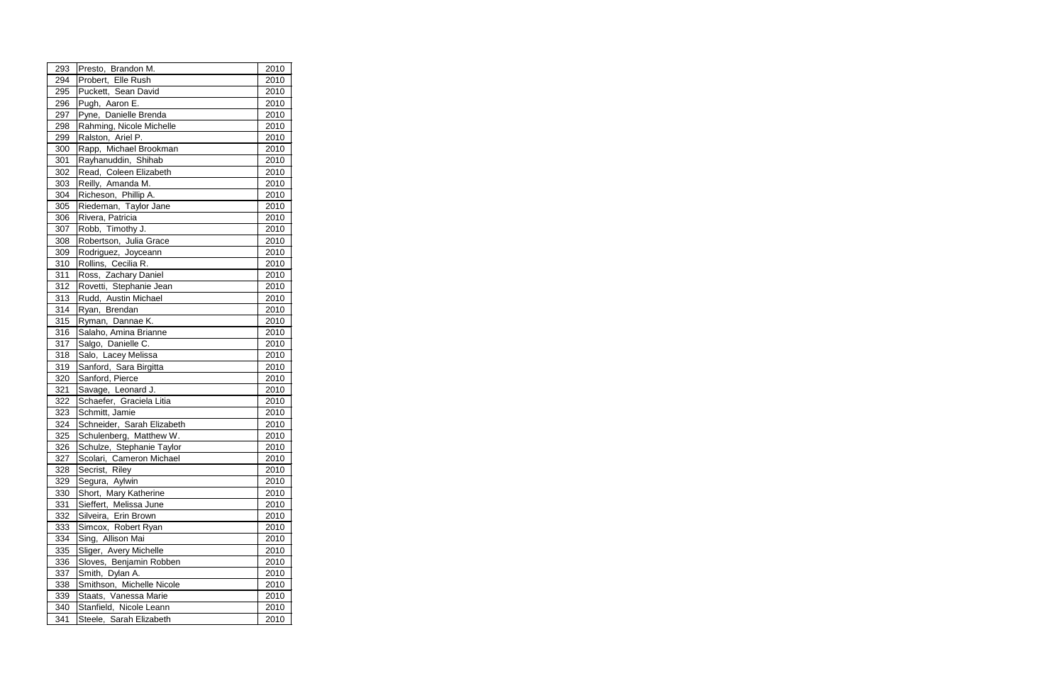| 293 | Presto, Brandon M.         | 2010 |
|-----|----------------------------|------|
| 294 | Probert, Elle Rush         | 2010 |
| 295 | Puckett, Sean David        | 2010 |
| 296 | Pugh, Aaron E.             | 2010 |
| 297 | Pyne, Danielle Brenda      | 2010 |
| 298 | Rahming, Nicole Michelle   | 2010 |
| 299 | Ralston, Ariel P.          | 2010 |
| 300 | Rapp, Michael Brookman     | 2010 |
| 301 | Rayhanuddin, Shihab        | 2010 |
| 302 | Read, Coleen Elizabeth     | 2010 |
| 303 | Reilly, Amanda M.          | 2010 |
| 304 | Richeson, Phillip A.       | 2010 |
| 305 | Riedeman, Taylor Jane      | 2010 |
| 306 | Rivera, Patricia           | 2010 |
| 307 | Robb, Timothy J.           | 2010 |
| 308 | Robertson, Julia Grace     | 2010 |
| 309 | Rodriguez, Joyceann        | 2010 |
| 310 | Rollins, Cecilia R.        | 2010 |
| 311 | Ross, Zachary Daniel       | 2010 |
| 312 | Rovetti, Stephanie Jean    | 2010 |
| 313 | Rudd, Austin Michael       | 2010 |
| 314 | Ryan, Brendan              | 2010 |
| 315 | Ryman, Dannae K.           | 2010 |
| 316 | Salaho, Amina Brianne      | 2010 |
| 317 | Salgo, Danielle C.         | 2010 |
| 318 | Salo, Lacey Melissa        | 2010 |
| 319 | Sanford, Sara Birgitta     | 2010 |
| 320 | Sanford, Pierce            | 2010 |
| 321 | Savage, Leonard J.         | 2010 |
| 322 | Schaefer, Graciela Litia   | 2010 |
| 323 | Schmitt, Jamie             | 2010 |
| 324 | Schneider, Sarah Elizabeth | 2010 |
| 325 | Schulenberg, Matthew W.    | 2010 |
| 326 | Schulze, Stephanie Taylor  | 2010 |
| 327 | Scolari, Cameron Michael   | 2010 |
| 328 | Secrist, Riley             | 2010 |
| 329 | Segura, Aylwin             | 2010 |
| 330 | Short, Mary Katherine      | 2010 |
| 331 | Sieffert, Melissa June     | 2010 |
| 332 | Silveira, Erin Brown       | 2010 |
| 333 | Simcox, Robert Ryan        | 2010 |
| 334 | Sing, Allison Mai          | 2010 |
| 335 | Sliger, Avery Michelle     | 2010 |
| 336 | Sloves, Benjamin Robben    | 2010 |
| 337 | Smith, Dylan A.            | 2010 |
| 338 | Smithson, Michelle Nicole  | 2010 |
| 339 | Staats, Vanessa Marie      | 2010 |
| 340 | Stanfield, Nicole Leann    | 2010 |
| 341 | Steele, Sarah Elizabeth    | 2010 |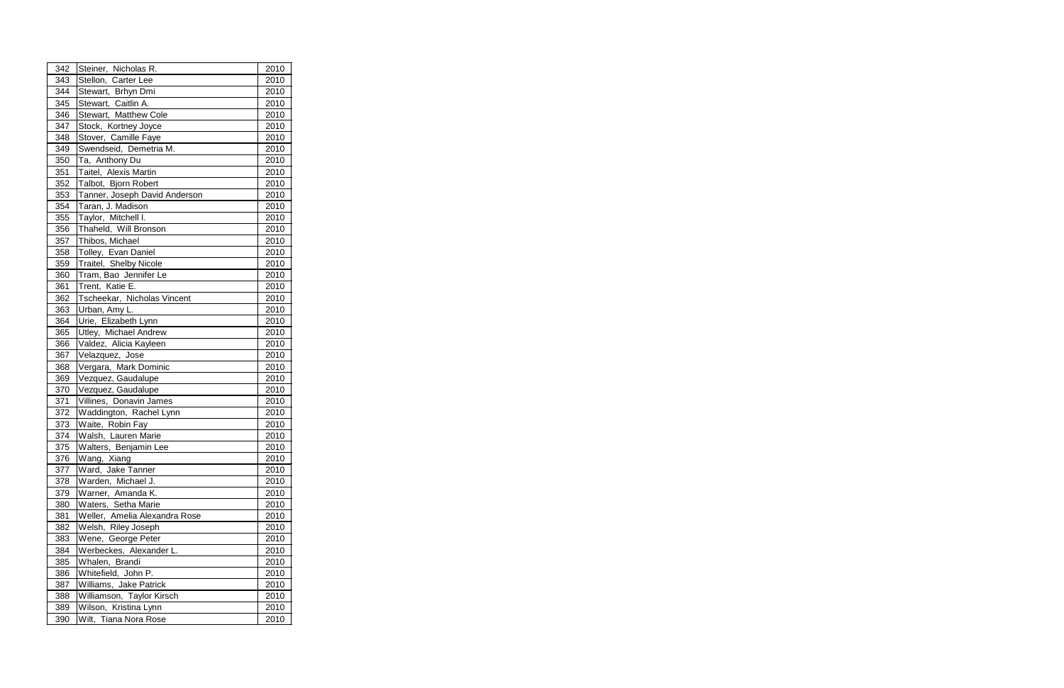| 342 | Steiner, Nicholas R.          | 2010 |
|-----|-------------------------------|------|
| 343 | Stellon, Carter Lee           | 2010 |
| 344 | Stewart, Brhyn Dmi            | 2010 |
| 345 | Stewart, Caitlin A.           | 2010 |
| 346 | Stewart, Matthew Cole         | 2010 |
| 347 | Stock, Kortney Joyce          | 2010 |
| 348 | Stover, Camille Faye          | 2010 |
| 349 | Swendseid, Demetria M.        | 2010 |
| 350 | Ta, Anthony Du                | 2010 |
| 351 | Taitel, Alexis Martin         | 2010 |
| 352 | Talbot, Bjorn Robert          | 2010 |
| 353 | Tanner, Joseph David Anderson | 2010 |
| 354 | Taran, J. Madison             | 2010 |
| 355 | Taylor, Mitchell I.           | 2010 |
| 356 | Thaheld, Will Bronson         | 2010 |
| 357 | Thibos, Michael               | 2010 |
| 358 | Tolley, Evan Daniel           | 2010 |
| 359 | Traitel, Shelby Nicole        | 2010 |
| 360 | Tram, Bao Jennifer Le         | 2010 |
| 361 | Trent, Katie E.               | 2010 |
| 362 | Tscheekar, Nicholas Vincent   | 2010 |
| 363 | Urban, Amy L.                 | 2010 |
| 364 | Urie, Elizabeth Lynn          | 2010 |
| 365 | Utley, Michael Andrew         | 2010 |
| 366 | Valdez, Alicia Kayleen        | 2010 |
| 367 | Velazquez, Jose               | 2010 |
| 368 | Vergara, Mark Dominic         | 2010 |
| 369 | Vezquez, Gaudalupe            | 2010 |
| 370 | Vezquez, Gaudalupe            | 2010 |
| 371 | Villines, Donavin James       | 2010 |
| 372 | Waddington, Rachel Lynn       | 2010 |
| 373 | Waite, Robin Fay              | 2010 |
| 374 | Walsh, Lauren Marie           | 2010 |
| 375 | Walters, Benjamin Lee         | 2010 |
| 376 | Wang, Xiang                   | 2010 |
| 377 | Ward, Jake Tanner             | 2010 |
| 378 | Warden, Michael J.            | 2010 |
| 379 | Warner, Amanda K.             | 2010 |
| 380 | Waters, Setha Marie           | 2010 |
| 381 | Weller, Amelia Alexandra Rose | 2010 |
| 382 | Welsh, Riley Joseph           | 2010 |
| 383 | Wene, George Peter            | 2010 |
| 384 | Werbeckes, Alexander L.       | 2010 |
| 385 | Whalen, Brandi                | 2010 |
| 386 | Whitefield, John P.           | 2010 |
| 387 | Williams, Jake Patrick        | 2010 |
| 388 | Williamson, Taylor Kirsch     | 2010 |
| 389 | Wilson, Kristina Lynn         | 2010 |
| 390 | Wilt, Tiana Nora Rose         | 2010 |